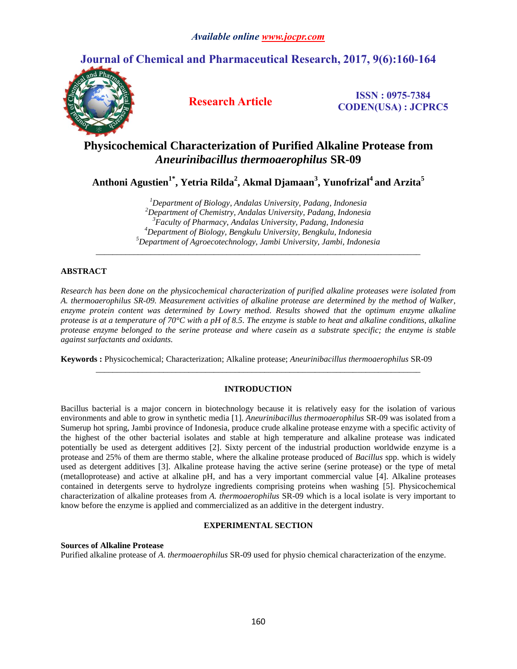# **Journal of Chemical and Pharmaceutical Research, 2017, 9(6):160-164**



**Research Article ISSN : 0975-7384 CODEN(USA) : JCPRC5**

# **Physicochemical Characterization of Purified Alkaline Protease from**  *Aneurinibacillus thermoaerophilus* **SR-09**

**Anthoni Agustien1\* , Yetria Rilda<sup>2</sup> , Akmal Djamaan<sup>3</sup> , Yunofrizal<sup>4</sup> and Arzita<sup>5</sup>**

*Department of Biology, Andalas University, Padang, Indonesia Department of Chemistry, Andalas University, Padang, Indonesia Faculty of Pharmacy, Andalas University, Padang, Indonesia Department of Biology, Bengkulu University, Bengkulu, Indonesia Department of Agroecotechnology, Jambi University, Jambi, Indonesia*

*\_\_\_\_\_\_\_\_\_\_\_\_\_\_\_\_\_\_\_\_\_\_\_\_\_\_\_\_\_\_\_\_\_\_\_\_\_\_\_\_\_\_\_\_\_\_\_\_\_\_\_\_\_\_\_\_\_\_\_\_\_\_\_\_\_\_\_\_\_\_\_\_\_\_\_\_\_*

# **ABSTRACT**

*Research has been done on the physicochemical characterization of purified alkaline proteases were isolated from A. thermoaerophilus SR-09. Measurement activities of alkaline protease are determined by the method of Walker, enzyme protein content was determined by Lowry method. Results showed that the optimum enzyme alkaline protease is at a temperature of 70°C with a pH of 8.5. The enzyme is stable to heat and alkaline conditions, alkaline protease enzyme belonged to the serine protease and where casein as a substrate specific; the enzyme is stable against surfactants and oxidants.*

**Keywords :** Physicochemical; Characterization; Alkaline protease; *Aneurinibacillus thermoaerophilus* SR-09

# **INTRODUCTION**

*\_\_\_\_\_\_\_\_\_\_\_\_\_\_\_\_\_\_\_\_\_\_\_\_\_\_\_\_\_\_\_\_\_\_\_\_\_\_\_\_\_\_\_\_\_\_\_\_\_\_\_\_\_\_\_\_\_\_\_\_\_\_\_\_\_\_\_\_\_\_\_\_\_\_\_\_\_*

Bacillus bacterial is a major concern in biotechnology because it is relatively easy for the isolation of various environments and able to grow in synthetic media [1]. *Aneurinibacillus thermoaerophilus* SR-09 was isolated from a Sumerup hot spring, Jambi province of Indonesia, produce crude alkaline protease enzyme with a specific activity of the highest of the other bacterial isolates and stable at high temperature and alkaline protease was indicated potentially be used as detergent additives [2]. Sixty percent of the industrial production worldwide enzyme is a protease and 25% of them are thermo stable, where the alkaline protease produced of *Bacillus* spp. which is widely used as detergent additives [3]. Alkaline protease having the active serine (serine protease) or the type of metal (metalloprotease) and active at alkaline pH, and has a very important commercial value [4]. Alkaline proteases contained in detergents serve to hydrolyze ingredients comprising proteins when washing [5]. Physicochemical characterization of alkaline proteases from *A. thermoaerophilus* SR-09 which is a local isolate is very important to know before the enzyme is applied and commercialized as an additive in the detergent industry.

# **EXPERIMENTAL SECTION**

**Sources of Alkaline Protease** 

Purified alkaline protease of *A. thermoaerophilus* SR-09 used for physio chemical characterization of the enzyme.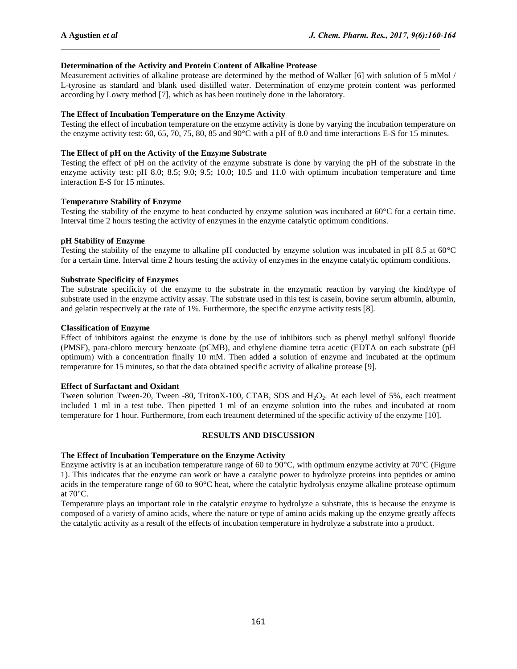## **Determination of the Activity and Protein Content of Alkaline Protease**

Measurement activities of alkaline protease are determined by the method of Walker [6] with solution of 5 mMol / L-tyrosine as standard and blank used distilled water. Determination of enzyme protein content was performed according by Lowry method [7], which as has been routinely done in the laboratory.

 $\mathcal{L}_\text{max}$ 

## **The Effect of Incubation Temperature on the Enzyme Activity**

Testing the effect of incubation temperature on the enzyme activity is done by varying the incubation temperature on the enzyme activity test: 60, 65, 70, 75, 80, 85 and 90°C with a pH of 8.0 and time interactions E-S for 15 minutes.

## **The Effect of pH on the Activity of the Enzyme Substrate**

Testing the effect of pH on the activity of the enzyme substrate is done by varying the pH of the substrate in the enzyme activity test: pH 8.0; 8.5; 9.0; 9.5; 10.0; 10.5 and 11.0 with optimum incubation temperature and time interaction E-S for 15 minutes.

## **Temperature Stability of Enzyme**

Testing the stability of the enzyme to heat conducted by enzyme solution was incubated at 60°C for a certain time. Interval time 2 hours testing the activity of enzymes in the enzyme catalytic optimum conditions.

## **pH Stability of Enzyme**

Testing the stability of the enzyme to alkaline pH conducted by enzyme solution was incubated in pH 8.5 at  $60^{\circ}$ C for a certain time. Interval time 2 hours testing the activity of enzymes in the enzyme catalytic optimum conditions.

## **Substrate Specificity of Enzymes**

The substrate specificity of the enzyme to the substrate in the enzymatic reaction by varying the kind/type of substrate used in the enzyme activity assay. The substrate used in this test is casein, bovine serum albumin, albumin, and gelatin respectively at the rate of 1%. Furthermore, the specific enzyme activity tests [8].

## **Classification of Enzyme**

Effect of inhibitors against the enzyme is done by the use of inhibitors such as phenyl methyl sulfonyl fluoride (PMSF), para-chloro mercury benzoate (pCMB), and ethylene diamine tetra acetic (EDTA on each substrate (pH optimum) with a concentration finally 10 mM. Then added a solution of enzyme and incubated at the optimum temperature for 15 minutes, so that the data obtained specific activity of alkaline protease [9].

### **Effect of Surfactant and Oxidant**

Tween solution Tween-20, Tween -80, TritonX-100, CTAB, SDS and H<sub>2</sub>O<sub>2</sub>. At each level of 5%, each treatment included 1 ml in a test tube. Then pipetted 1 ml of an enzyme solution into the tubes and incubated at room temperature for 1 hour. Furthermore, from each treatment determined of the specific activity of the enzyme [10].

### **RESULTS AND DISCUSSION**

### **The Effect of Incubation Temperature on the Enzyme Activity**

Enzyme activity is at an incubation temperature range of 60 to 90°C, with optimum enzyme activity at 70°C (Figure 1). This indicates that the enzyme can work or have a catalytic power to hydrolyze proteins into peptides or amino acids in the temperature range of 60 to 90°C heat, where the catalytic hydrolysis enzyme alkaline protease optimum at 70°C.

Temperature plays an important role in the catalytic enzyme to hydrolyze a substrate, this is because the enzyme is composed of a variety of amino acids, where the nature or type of amino acids making up the enzyme greatly affects the catalytic activity as a result of the effects of incubation temperature in hydrolyze a substrate into a product.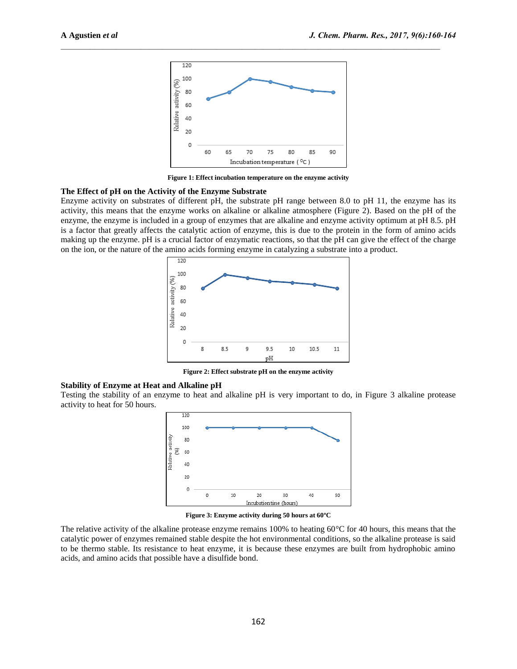

 $\mathcal{L}_\text{max}$ 

**Figure 1: Effect incubation temperature on the enzyme activity**

#### **The Effect of pH on the Activity of the Enzyme Substrate**

Enzyme activity on substrates of different pH, the substrate pH range between 8.0 to pH 11, the enzyme has its activity, this means that the enzyme works on alkaline or alkaline atmosphere (Figure 2). Based on the pH of the enzyme, the enzyme is included in a group of enzymes that are alkaline and enzyme activity optimum at pH 8.5. pH is a factor that greatly affects the catalytic action of enzyme, this is due to the protein in the form of amino acids making up the enzyme. pH is a crucial factor of enzymatic reactions, so that the pH can give the effect of the charge on the ion, or the nature of the amino acids forming enzyme in catalyzing a substrate into a product.



**Figure 2: Effect substrate pH on the enzyme activity**

#### **Stability of Enzyme at Heat and Alkaline pH**

Testing the stability of an enzyme to heat and alkaline pH is very important to do, in Figure 3 alkaline protease activity to heat for 50 hours.



**Figure 3: Enzyme activity during 50 hours at 60ºC**

The relative activity of the alkaline protease enzyme remains 100% to heating 60°C for 40 hours, this means that the catalytic power of enzymes remained stable despite the hot environmental conditions, so the alkaline protease is said to be thermo stable. Its resistance to heat enzyme, it is because these enzymes are built from hydrophobic amino acids, and amino acids that possible have a disulfide bond.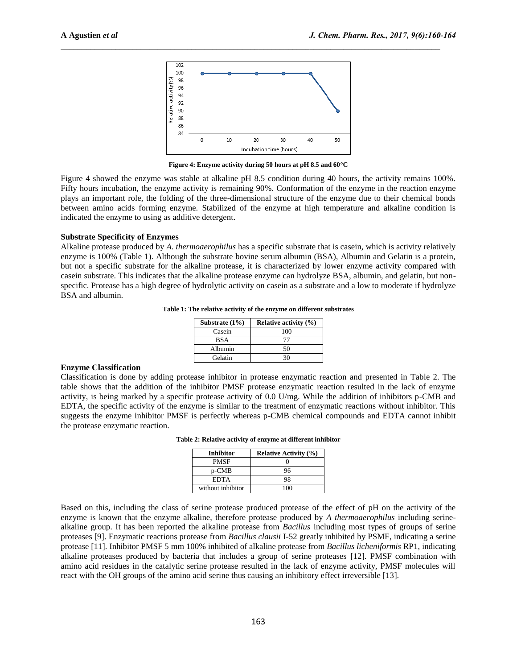

 $\mathcal{L}_\text{max}$ 

**Figure 4: Enzyme activity during 50 hours at pH 8.5 and 60°C**

Figure 4 showed the enzyme was stable at alkaline pH 8.5 condition during 40 hours, the activity remains 100%. Fifty hours incubation, the enzyme activity is remaining 90%. Conformation of the enzyme in the reaction enzyme plays an important role, the folding of the three-dimensional structure of the enzyme due to their chemical bonds between amino acids forming enzyme. Stabilized of the enzyme at high temperature and alkaline condition is indicated the enzyme to using as additive detergent.

### **Substrate Specificity of Enzymes**

Alkaline protease produced by *A. thermoaerophilus* has a specific substrate that is casein, which is activity relatively enzyme is 100% (Table 1). Although the substrate bovine serum albumin (BSA), Albumin and Gelatin is a protein, but not a specific substrate for the alkaline protease, it is characterized by lower enzyme activity compared with casein substrate. This indicates that the alkaline protease enzyme can hydrolyze BSA, albumin, and gelatin, but nonspecific. Protease has a high degree of hydrolytic activity on casein as a substrate and a low to moderate if hydrolyze BSA and albumin.

**Table 1: The relative activity of the enzyme on different substrates**

| Substrate $(1\%)$ | <b>Relative activity (%)</b> |
|-------------------|------------------------------|
| Casein            | 100                          |
| <b>BSA</b>        | 77                           |
| Albumin           | 50                           |
| Gelatin           | 30                           |

#### **Enzyme Classification**

Classification is done by adding protease inhibitor in protease enzymatic reaction and presented in Table 2. The table shows that the addition of the inhibitor PMSF protease enzymatic reaction resulted in the lack of enzyme activity, is being marked by a specific protease activity of 0.0 U/mg. While the addition of inhibitors p-CMB and EDTA, the specific activity of the enzyme is similar to the treatment of enzymatic reactions without inhibitor. This suggests the enzyme inhibitor PMSF is perfectly whereas p-CMB chemical compounds and EDTA cannot inhibit the protease enzymatic reaction.

| <b>Inhibitor</b>  | <b>Relative Activity (%)</b> |
|-------------------|------------------------------|
| <b>PMSF</b>       |                              |
| p-CMB             | 96                           |
| <b>EDTA</b>       | 98                           |
| without inhibitor | 100                          |

Based on this, including the class of serine protease produced protease of the effect of pH on the activity of the enzyme is known that the enzyme alkaline, therefore protease produced by *A thermoaerophilus* including serinealkaline group. It has been reported the alkaline protease from *Bacillus* including most types of groups of serine proteases [9]. Enzymatic reactions protease from *Bacillus clausii* I-52 greatly inhibited by PSMF, indicating a serine protease [11]. Inhibitor PMSF 5 mm 100% inhibited of alkaline protease from *Bacillus licheniformis* RP1, indicating alkaline proteases produced by bacteria that includes a group of serine proteases [12]. PMSF combination with amino acid residues in the catalytic serine protease resulted in the lack of enzyme activity, PMSF molecules will react with the OH groups of the amino acid serine thus causing an inhibitory effect irreversible [13].